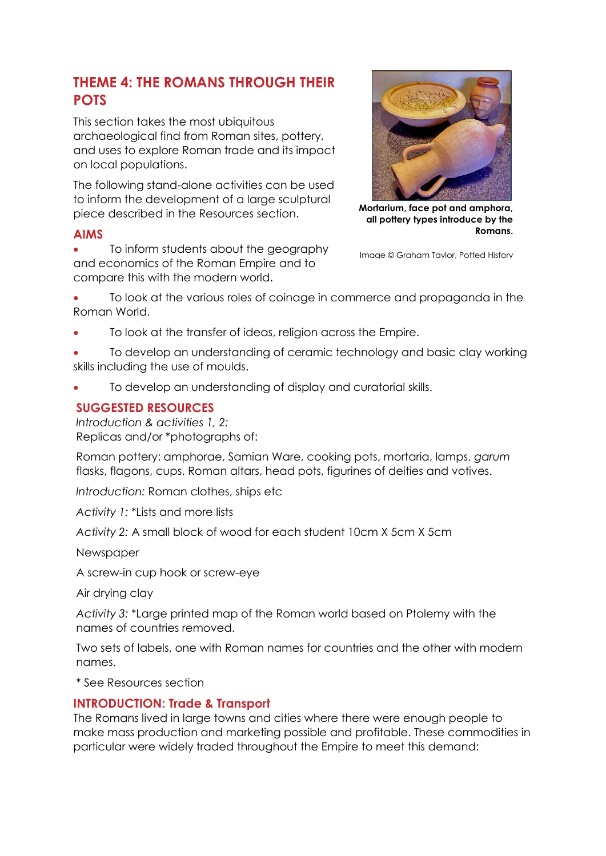# **THEME 4: THE ROMANS THROUGH THEIR POTS**

This section takes the most ubiquitous archaeological find from Roman sites, pottery, and uses to explore Roman trade and its impact on local populations.

The following stand-alone activities can be used to inform the development of a large sculptural piece described in the Resources section.

#### **AIMS**

 To inform students about the geography and economics of the Roman Empire and to compare this with the modern world.



**Mortarium, face pot and amphora, all pottery types introduce by the Romans.**

Image © Graham Taylor, Potted History

 To look at the various roles of coinage in commerce and propaganda in the Roman World.

To look at the transfer of ideas, religion across the Empire.

 To develop an understanding of ceramic technology and basic clay working skills including the use of moulds.

To develop an understanding of display and curatorial skills.

# **SUGGESTED RESOURCES**

*Introduction & activities 1, 2:* Replicas and/or \*photographs of:

Roman pottery: amphorae, Samian Ware, cooking pots, mortaria, lamps, *garum* flasks, flagons, cups, Roman altars, head pots, figurines of deities and votives.

*Introduction:* Roman clothes, ships etc

*Activity 1:* \*Lists and more lists

*Activity 2:* A small block of wood for each student 10cm X 5cm X 5cm

**Newspaper** 

A screw-in cup hook or screw-eye

Air drying clay

*Activity 3:* \*Large printed map of the Roman world based on Ptolemy with the names of countries removed.

Two sets of labels, one with Roman names for countries and the other with modern names.

\* See Resources section

### **INTRODUCTION: Trade & Transport**

The Romans lived in large towns and cities where there were enough people to make mass production and marketing possible and profitable. These commodities in particular were widely traded throughout the Empire to meet this demand: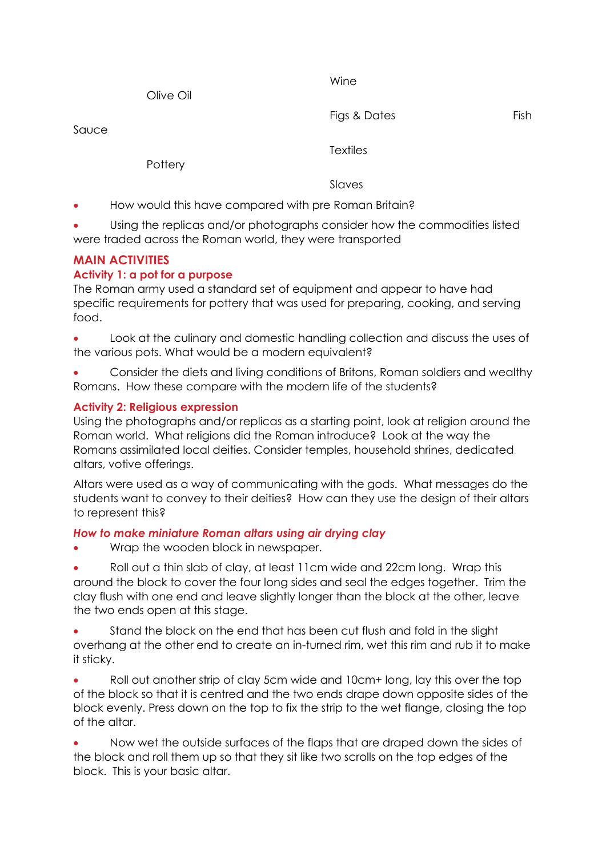Olive Oil

Figs & Dates Fish

Sauce

**Pottery** 

**Textiles** 

Wine

Slaves

- How would this have compared with pre Roman Britain?
- Using the replicas and/or photographs consider how the commodities listed were traded across the Roman world, they were transported

## **MAIN ACTIVITIES**

#### **Activity 1: a pot for a purpose**

The Roman army used a standard set of equipment and appear to have had specific requirements for pottery that was used for preparing, cooking, and serving food.

 Look at the culinary and domestic handling collection and discuss the uses of the various pots. What would be a modern equivalent?

 Consider the diets and living conditions of Britons, Roman soldiers and wealthy Romans. How these compare with the modern life of the students?

#### **Activity 2: Religious expression**

Using the photographs and/or replicas as a starting point, look at religion around the Roman world. What religions did the Roman introduce? Look at the way the Romans assimilated local deities. Consider temples, household shrines, dedicated altars, votive offerings.

Altars were used as a way of communicating with the gods. What messages do the students want to convey to their deities? How can they use the design of their altars to represent this?

#### *How to make miniature Roman altars using air drying clay*

Wrap the wooden block in newspaper.

 Roll out a thin slab of clay, at least 11cm wide and 22cm long. Wrap this around the block to cover the four long sides and seal the edges together. Trim the clay flush with one end and leave slightly longer than the block at the other, leave the two ends open at this stage.

 Stand the block on the end that has been cut flush and fold in the slight overhang at the other end to create an in-turned rim, wet this rim and rub it to make it sticky.

 Roll out another strip of clay 5cm wide and 10cm+ long, lay this over the top of the block so that it is centred and the two ends drape down opposite sides of the block evenly. Press down on the top to fix the strip to the wet flange, closing the top of the altar.

 Now wet the outside surfaces of the flaps that are draped down the sides of the block and roll them up so that they sit like two scrolls on the top edges of the block. This is your basic altar.